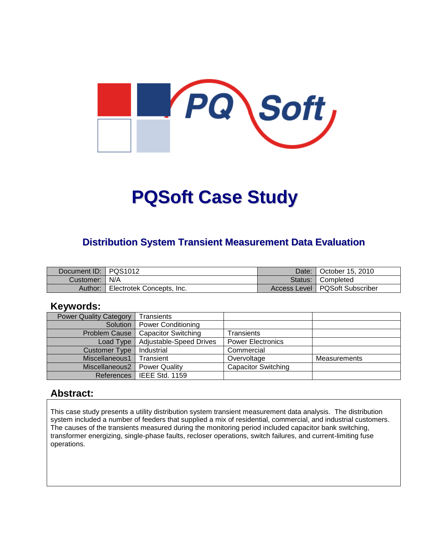

# **PQSoft Case Study**

#### **Distribution System Transient Measurement Data Evaluation**

| Document ID: PQS1012 |                           | Date:   | October 15, 2010                 |
|----------------------|---------------------------|---------|----------------------------------|
| Customer:   N/A      |                           | Status: | I Completed                      |
| Author:              | Electrotek Concepts, Inc. |         | Access Level   PQSoft Subscriber |

#### **Keywords:**

| <b>Power Quality Category</b> | Transients                     |                            |              |
|-------------------------------|--------------------------------|----------------------------|--------------|
| Solution                      | Power Conditioning             |                            |              |
| <b>Problem Cause</b>          | <b>Capacitor Switching</b>     | <b>Transients</b>          |              |
| Load Type                     | <b>Adjustable-Speed Drives</b> | <b>Power Electronics</b>   |              |
| <b>Customer Type</b>          | Industrial                     | Commercial                 |              |
| Miscellaneous1                | Transient                      | Overvoltage                | Measurements |
| Miscellaneous2                | <b>Power Quality</b>           | <b>Capacitor Switching</b> |              |
| References                    | IEEE Std. 1159                 |                            |              |

#### **Abstract:**

This case study presents a utility distribution system transient measurement data analysis. The distribution system included a number of feeders that supplied a mix of residential, commercial, and industrial customers. The causes of the transients measured during the monitoring period included capacitor bank switching, transformer energizing, single-phase faults, recloser operations, switch failures, and current-limiting fuse operations.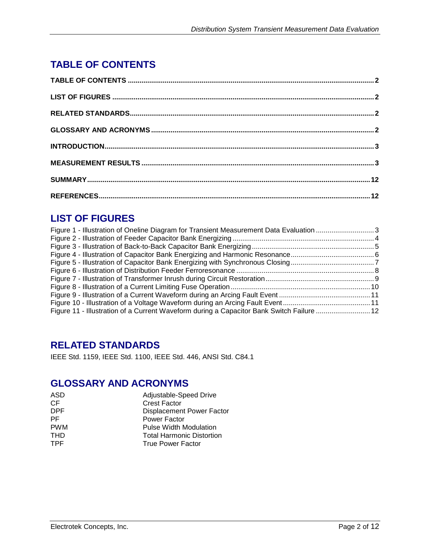## **TABLE OF CONTENTS**

## **LIST OF FIGURES**

| Figure 1 - Illustration of Oneline Diagram for Transient Measurement Data Evaluation 3   |  |
|------------------------------------------------------------------------------------------|--|
|                                                                                          |  |
|                                                                                          |  |
|                                                                                          |  |
|                                                                                          |  |
|                                                                                          |  |
|                                                                                          |  |
|                                                                                          |  |
|                                                                                          |  |
|                                                                                          |  |
| Figure 11 - Illustration of a Current Waveform during a Capacitor Bank Switch Failure 12 |  |

## **RELATED STANDARDS**

IEEE Std. 1159, IEEE Std. 1100, IEEE Std. 446, ANSI Std. C84.1

## **GLOSSARY AND ACRONYMS**

| ASD        | Adjustable-Speed Drive           |
|------------|----------------------------------|
| СF         | <b>Crest Factor</b>              |
| DPF.       | Displacement Power Factor        |
| РF         | Power Factor                     |
| <b>PWM</b> | <b>Pulse Width Modulation</b>    |
| THD        | <b>Total Harmonic Distortion</b> |
| TPF        | <b>True Power Factor</b>         |
|            |                                  |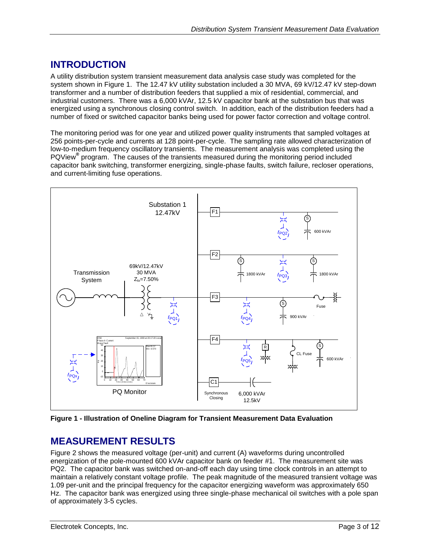## **INTRODUCTION**

A utility distribution system transient measurement data analysis case study was completed for the system shown in [Figure 1.](#page-2-0) The 12.47 kV utility substation included a 30 MVA, 69 kV/12.47 kV step-down transformer and a number of distribution feeders that supplied a mix of residential, commercial, and industrial customers. There was a 6,000 kVAr, 12.5 kV capacitor bank at the substation bus that was energized using a synchronous closing control switch. In addition, each of the distribution feeders had a number of fixed or switched capacitor banks being used for power factor correction and voltage control.

The monitoring period was for one year and utilized power quality instruments that sampled voltages at 256 points-per-cycle and currents at 128 point-per-cycle. The sampling rate allowed characterization of low-to-medium frequency oscillatory transients. The measurement analysis was completed using the PQView<sup>®</sup> program. The causes of the transients measured during the monitoring period included capacitor bank switching, transformer energizing, single-phase faults, switch failure, recloser operations, and current-limiting fuse operations.



<span id="page-2-0"></span>**Figure 1 - Illustration of Oneline Diagram for Transient Measurement Data Evaluation**

#### **MEASUREMENT RESULTS**

[Figure 2](#page-3-0) shows the measured voltage (per-unit) and current (A) waveforms during uncontrolled energization of the pole-mounted 600 kVAr capacitor bank on feeder #1. The measurement site was PQ2. The capacitor bank was switched on-and-off each day using time clock controls in an attempt to maintain a relatively constant voltage profile. The peak magnitude of the measured transient voltage was 1.09 per-unit and the principal frequency for the capacitor energizing waveform was approximately 650 Hz. The capacitor bank was energized using three single-phase mechanical oil switches with a pole span of approximately 3-5 cycles.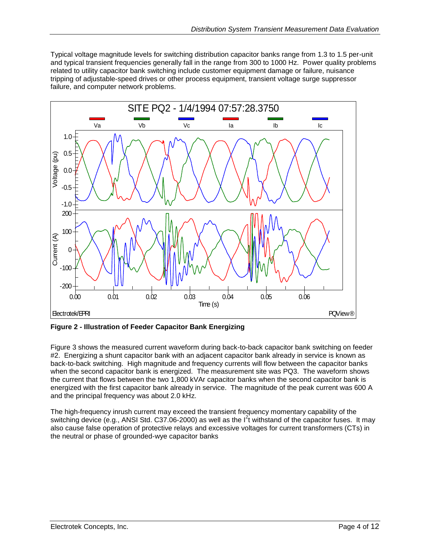Typical voltage magnitude levels for switching distribution capacitor banks range from 1.3 to 1.5 per-unit and typical transient frequencies generally fall in the range from 300 to 1000 Hz. Power quality problems related to utility capacitor bank switching include customer equipment damage or failure, nuisance tripping of adjustable-speed drives or other process equipment, transient voltage surge suppressor failure, and computer network problems.



<span id="page-3-0"></span>**Figure 2 - Illustration of Feeder Capacitor Bank Energizing**

[Figure 3](#page-4-0) shows the measured current waveform during back-to-back capacitor bank switching on feeder #2. Energizing a shunt capacitor bank with an adjacent capacitor bank already in service is known as back-to-back switching. High magnitude and frequency currents will flow between the capacitor banks when the second capacitor bank is energized. The measurement site was PQ3. The waveform shows the current that flows between the two 1,800 kVAr capacitor banks when the second capacitor bank is energized with the first capacitor bank already in service. The magnitude of the peak current was 600 A and the principal frequency was about 2.0 kHz.

The high-frequency inrush current may exceed the transient frequency momentary capability of the switching device (e.g., ANSI Std. C37.06-2000) as well as the  $I<sup>2</sup>t$  withstand of the capacitor fuses. It may also cause false operation of protective relays and excessive voltages for current transformers (CTs) in the neutral or phase of grounded-wye capacitor banks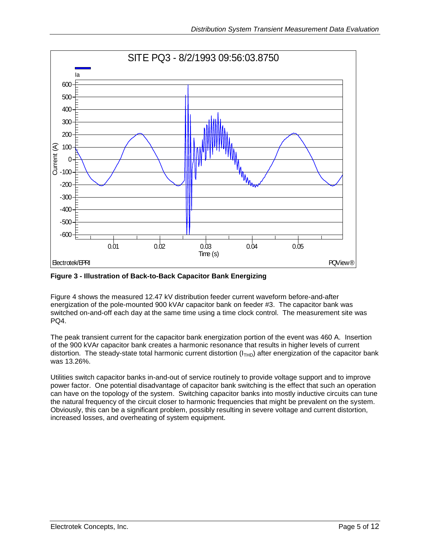

<span id="page-4-0"></span>**Figure 3 - Illustration of Back-to-Back Capacitor Bank Energizing**

[Figure 4](#page-5-0) shows the measured 12.47 kV distribution feeder current waveform before-and-after energization of the pole-mounted 900 kVAr capacitor bank on feeder #3. The capacitor bank was switched on-and-off each day at the same time using a time clock control. The measurement site was PQ4.

The peak transient current for the capacitor bank energization portion of the event was 460 A. Insertion of the 900 kVAr capacitor bank creates a harmonic resonance that results in higher levels of current distortion. The steady-state total harmonic current distortion  $(I<sub>THD</sub>)$  after energization of the capacitor bank was 13.26%.

Utilities switch capacitor banks in-and-out of service routinely to provide voltage support and to improve power factor. One potential disadvantage of capacitor bank switching is the effect that such an operation can have on the topology of the system. Switching capacitor banks into mostly inductive circuits can tune the natural frequency of the circuit closer to harmonic frequencies that might be prevalent on the system. Obviously, this can be a significant problem, possibly resulting in severe voltage and current distortion, increased losses, and overheating of system equipment.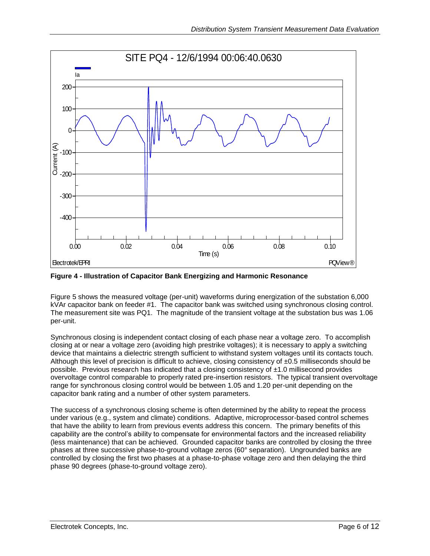

<span id="page-5-0"></span>**Figure 4 - Illustration of Capacitor Bank Energizing and Harmonic Resonance**

[Figure 5](#page-6-0) shows the measured voltage (per-unit) waveforms during energization of the substation 6,000 kVAr capacitor bank on feeder #1. The capacitor bank was switched using synchronous closing control. The measurement site was PQ1. The magnitude of the transient voltage at the substation bus was 1.06 per-unit.

Synchronous closing is independent contact closing of each phase near a voltage zero. To accomplish closing at or near a voltage zero (avoiding high prestrike voltages); it is necessary to apply a switching device that maintains a dielectric strength sufficient to withstand system voltages until its contacts touch. Although this level of precision is difficult to achieve, closing consistency of  $\pm 0.5$  milliseconds should be possible. Previous research has indicated that a closing consistency of ±1.0 millisecond provides overvoltage control comparable to properly rated pre-insertion resistors. The typical transient overvoltage range for synchronous closing control would be between 1.05 and 1.20 per-unit depending on the capacitor bank rating and a number of other system parameters.

The success of a synchronous closing scheme is often determined by the ability to repeat the process under various (e.g., system and climate) conditions. Adaptive, microprocessor-based control schemes that have the ability to learn from previous events address this concern. The primary benefits of this capability are the control's ability to compensate for environmental factors and the increased reliability (less maintenance) that can be achieved. Grounded capacitor banks are controlled by closing the three phases at three successive phase-to-ground voltage zeros (60° separation). Ungrounded banks are controlled by closing the first two phases at a phase-to-phase voltage zero and then delaying the third phase 90 degrees (phase-to-ground voltage zero).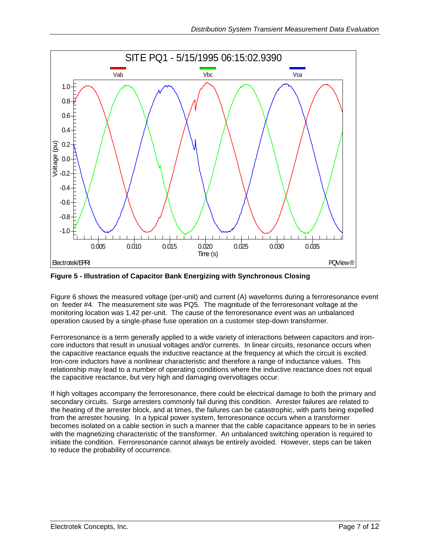

<span id="page-6-0"></span>**Figure 5 - Illustration of Capacitor Bank Energizing with Synchronous Closing**

[Figure 6](#page-7-0) shows the measured voltage (per-unit) and current (A) waveforms during a ferroresonance event on feeder #4. The measurement site was PQ5. The magnitude of the ferroresonant voltage at the monitoring location was 1.42 per-unit. The cause of the ferroresonance event was an unbalanced operation caused by a single-phase fuse operation on a customer step-down transformer.

Ferroresonance is a term generally applied to a wide variety of interactions between capacitors and ironcore inductors that result in unusual voltages and/or currents. In linear circuits, resonance occurs when the capacitive reactance equals the inductive reactance at the frequency at which the circuit is excited. Iron-core inductors have a nonlinear characteristic and therefore a range of inductance values. This relationship may lead to a number of operating conditions where the inductive reactance does not equal the capacitive reactance, but very high and damaging overvoltages occur.

If high voltages accompany the ferroresonance, there could be electrical damage to both the primary and secondary circuits. Surge arresters commonly fail during this condition. Arrester failures are related to the heating of the arrester block, and at times, the failures can be catastrophic, with parts being expelled from the arrester housing. In a typical power system, ferroresonance occurs when a transformer becomes isolated on a cable section in such a manner that the cable capacitance appears to be in series with the magnetizing characteristic of the transformer. An unbalanced switching operation is required to initiate the condition. Ferroresonance cannot always be entirely avoided. However, steps can be taken to reduce the probability of occurrence.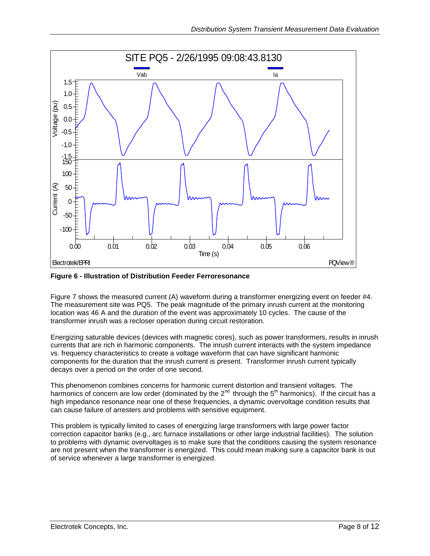

<span id="page-7-0"></span>**Figure 6 - Illustration of Distribution Feeder Ferroresonance**

[Figure 7](#page-8-0) shows the measured current (A) waveform during a transformer energizing event on feeder #4. The measurement site was PQ5. The peak magnitude of the primary inrush current at the monitoring location was 46 A and the duration of the event was approximately 10 cycles. The cause of the transformer inrush was a recloser operation during circuit restoration.

Energizing saturable devices (devices with magnetic cores), such as power transformers, results in inrush currents that are rich in harmonic components. The inrush current interacts with the system impedance vs. frequency characteristics to create a voltage waveform that can have significant harmonic components for the duration that the inrush current is present. Transformer inrush current typically decays over a period on the order of one second.

This phenomenon combines concerns for harmonic current distortion and transient voltages. The harmonics of concern are low order (dominated by the 2<sup>nd</sup> through the 5<sup>th</sup> harmonics). If the circuit has a high impedance resonance near one of these frequencies, a dynamic overvoltage condition results that can cause failure of arresters and problems with sensitive equipment.

This problem is typically limited to cases of energizing large transformers with large power factor correction capacitor banks (e.g., arc furnace installations or other large industrial facilities). The solution to problems with dynamic overvoltages is to make sure that the conditions causing the system resonance are not present when the transformer is energized. This could mean making sure a capacitor bank is out of service whenever a large transformer is energized.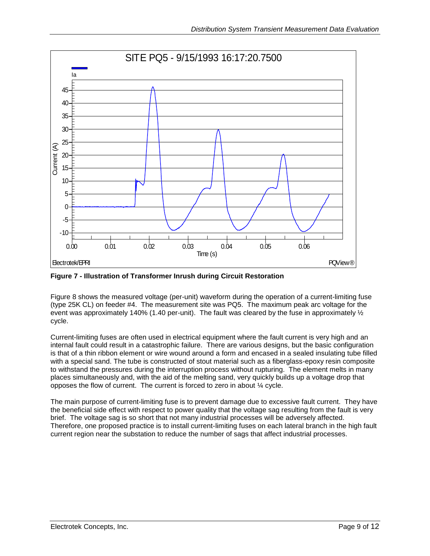

<span id="page-8-0"></span>**Figure 7 - Illustration of Transformer Inrush during Circuit Restoration**

[Figure 8](#page-9-0) shows the measured voltage (per-unit) waveform during the operation of a current-limiting fuse (type 25K CL) on feeder #4. The measurement site was PQ5. The maximum peak arc voltage for the event was approximately 140% (1.40 per-unit). The fault was cleared by the fuse in approximately  $\frac{1}{2}$ cycle.

Current-limiting fuses are often used in electrical equipment where the fault current is very high and an internal fault could result in a catastrophic failure. There are various designs, but the basic configuration is that of a thin ribbon element or wire wound around a form and encased in a sealed insulating tube filled with a special sand. The tube is constructed of stout material such as a fiberglass-epoxy resin composite to withstand the pressures during the interruption process without rupturing. The element melts in many places simultaneously and, with the aid of the melting sand, very quickly builds up a voltage drop that opposes the flow of current. The current is forced to zero in about ¼ cycle.

The main purpose of current-limiting fuse is to prevent damage due to excessive fault current. They have the beneficial side effect with respect to power quality that the voltage sag resulting from the fault is very brief. The voltage sag is so short that not many industrial processes will be adversely affected. Therefore, one proposed practice is to install current-limiting fuses on each lateral branch in the high fault current region near the substation to reduce the number of sags that affect industrial processes.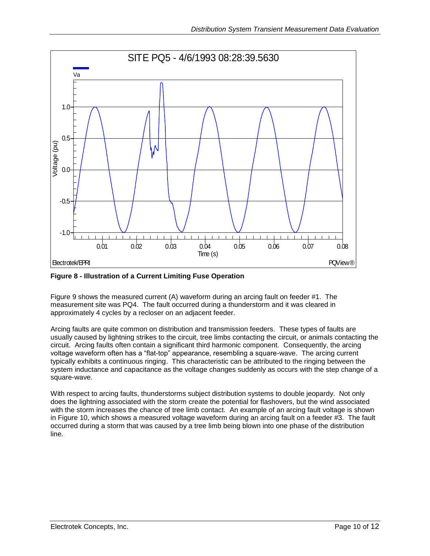

<span id="page-9-0"></span>**Figure 8 - Illustration of a Current Limiting Fuse Operation**

[Figure 9](#page-10-0) shows the measured current (A) waveform during an arcing fault on feeder #1. The measurement site was PQ4. The fault occurred during a thunderstorm and it was cleared in approximately 4 cycles by a recloser on an adjacent feeder.

Arcing faults are quite common on distribution and transmission feeders. These types of faults are usually caused by lightning strikes to the circuit, tree limbs contacting the circuit, or animals contacting the circuit. Arcing faults often contain a significant third harmonic component. Consequently, the arcing voltage waveform often has a "flat-top" appearance, resembling a square-wave. The arcing current typically exhibits a continuous ringing. This characteristic can be attributed to the ringing between the system inductance and capacitance as the voltage changes suddenly as occurs with the step change of a square-wave.

With respect to arcing faults, thunderstorms subject distribution systems to double jeopardy. Not only does the lightning associated with the storm create the potential for flashovers, but the wind associated with the storm increases the chance of tree limb contact. An example of an arcing fault voltage is shown in [Figure 10,](#page-10-1) which shows a measured voltage waveform during an arcing fault on a feeder  $#3$ . The fault occurred during a storm that was caused by a tree limb being blown into one phase of the distribution line.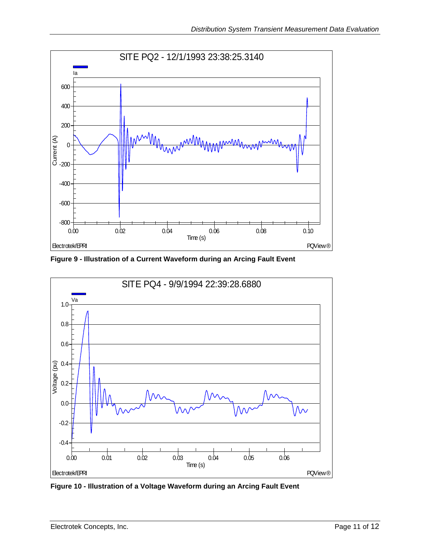

<span id="page-10-0"></span>**Figure 9 - Illustration of a Current Waveform during an Arcing Fault Event**



<span id="page-10-1"></span>**Figure 10 - Illustration of a Voltage Waveform during an Arcing Fault Event**